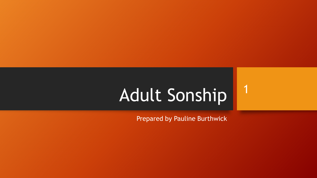# Adult Sonship

Prepared by Pauline Burthwick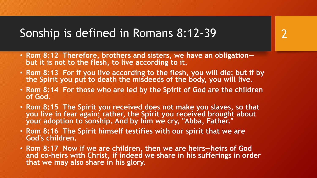- **Rom 8:12 Therefore, brothers and sisters, we have an obligation but it is not to the flesh, to live according to it.**
- **Rom 8:13 For if you live according to the flesh, you will die; but if by the Spirit you put to death the misdeeds of the body, you will live.**

- **Rom 8:14 For those who are led by the Spirit of God are the children of God.**
- **Rom 8:15 The Spirit you received does not make you slaves, so that you live in fear again; rather, the Spirit you received brought about your adoption to sonship. And by him we cry, "Abba, Father."**
- **Rom 8:16 The Spirit himself testifies with our spirit that we are God's children.**
- **Rom 8:17 Now if we are children, then we are heirs—heirs of God and co-heirs with Christ, if indeed we share in his sufferings in order that we may also share in his glory.**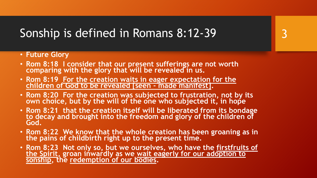- **Future Glory**
- **Rom 8:18 I consider that our present sufferings are not worth**  comparing with the glory that will be revealed in us.
- **Rom 8:19 For the creation waits in eager expectation for the children of God to be revealed [seen - made manifest].**
- **Rom 8:20 For the creation was subjected to frustration, not by its own choice, but by the will of the one who subjected it, in hope**
- **Rom 8:21 that the creation itself will be liberated from its bondage to decay and brought into the freedom and glory of the children of God.**
- **Rom 8:22 We know that the whole creation has been groaning as in the pains of childbirth right up to the present time.**
- **Rom 8:23 Not only so, but we ourselves, who have the firstfruits of the Spirit, groan inwardly as we wait eagerly for our adoption to**  sonship, the redemption of our bodies.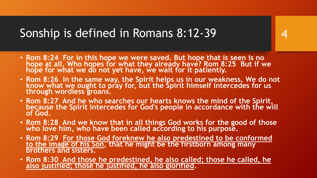• **Rom 8:24 For in this hope we were saved. But hope that is seen is no hope at all. Who hopes for what they already have? Rom 8:25 But if we hope for what we do not yet have, we wait for it patiently.**

- **Rom 8:26 In the same way, the Spirit helps us in our weakness. We do not know what we ought to pray for, but the Spirit himself intercedes for us through wordless groans.**
- **Rom 8:27 And he who searches our hearts knows the mind of the Spirit, because the Spirit intercedes for God's people in accordance with the will of God.**
- **Rom 8:28 And we know that in all things God works for the good of those who love him, who have been called according to his purpose.**
- **Rom 8:29 For those God foreknew he also predestined to be conformed to the image of his Son, that he might be the firstborn among many brothers and sisters.**
- **Rom 8:30 And those he predestined, he also called; those he called, he also justified; those he justified, he also glorified.**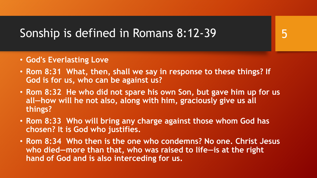- **God's Everlasting Love**
- **Rom 8:31 What, then, shall we say in response to these things? If God is for us, who can be against us?**
- **Rom 8:32 He who did not spare his own Son, but gave him up for us all—how will he not also, along with him, graciously give us all things?**
- **Rom 8:33 Who will bring any charge against those whom God has chosen? It is God who justifies.**
- **Rom 8:34 Who then is the one who condemns? No one. Christ Jesus who died—more than that, who was raised to life—is at the right hand of God and is also interceding for us.**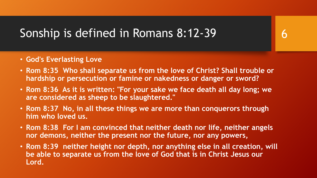- **God's Everlasting Love**
- **Rom 8:35 Who shall separate us from the love of Christ? Shall trouble or hardship or persecution or famine or nakedness or danger or sword?**

- **Rom 8:36 As it is written: "For your sake we face death all day long; we are considered as sheep to be slaughtered."**
- **Rom 8:37 No, in all these things we are more than conquerors through him who loved us.**
- **Rom 8:38 For I am convinced that neither death nor life, neither angels nor demons, neither the present nor the future, nor any powers,**
- **Rom 8:39 neither height nor depth, nor anything else in all creation, will be able to separate us from the love of God that is in Christ Jesus our Lord.**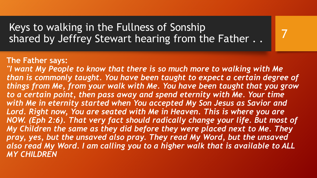Keys to walking in the Fullness of Sonship shared by Jeffrey Stewart hearing from the Father . .

#### **The Father says:**

*"I want My People to know that there is so much more to walking with Me than is commonly taught. You have been taught to expect a certain degree of things from Me, from your walk with Me. You have been taught that you grow to a certain point, then pass away and spend eternity with Me. Your time with Me in eternity started when You accepted My Son Jesus as Savior and*  Lord. Right now, You are seated with Me in Heaven. This is where you are *NOW. (Eph 2:6). That very fact should radically change your life. But most of My Children the same as they did before they were placed next to Me. They pray, yes, but the unsaved also pray. They read My Word, but the unsaved also read My Word. I am calling you to a higher walk that is available to ALL MY CHILDREN*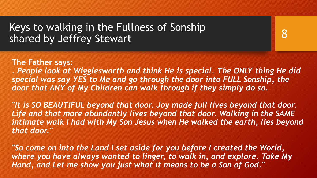**The Father says:**

*. People look at Wigglesworth and think He is special. The ONLY thing He did special was say YES to Me and go through the door into FULL Sonship, the door that ANY of My Children can walk through if they simply do so.*

8

*"It is SO BEAUTIFUL beyond that door. Joy made full lives beyond that door. Life and that more abundantly lives beyond that door. Walking in the SAME intimate walk I had with My Son Jesus when He walked the earth, lies beyond that door."*

*"So come on into the Land I set aside for you before I created the World, where you have always wanted to linger, to walk in, and explore. Take My Hand, and Let me show you just what it means to be a Son of God."*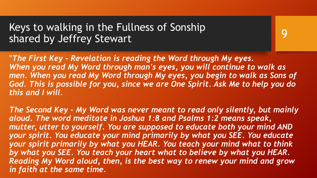**"***The First Key - Revelation is reading the Word through My eyes. When you read My Word through man's eyes, you will continue to walk as*  men. When you read My Word through My eyes, you begin to walk as Sons of *God. This is possible for you, since we are One Spirit. Ask Me to help you do this and I will.*

9

*The Second Key - My Word was never meant to read only silently, but mainly aloud. The word meditate in Joshua 1:8 and Psalms 1:2 means speak, mutter, utter to yourself. You are supposed to educate both your mind AND your spirit. You educate your mind primarily by what you SEE. You educate your spirit primarily by what you HEAR. You teach your mind what to think by what you SEE. You teach your heart what to believe by what you HEAR. Reading My Word aloud, then, is the best way to renew your mind and grow in faith at the same time.*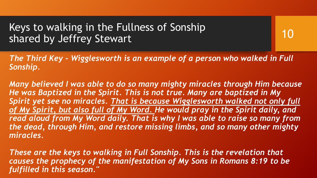10

*The Third Key - Wigglesworth is an example of a person who walked in Full Sonship.*

*Many believed I was able to do so many mighty miracles through Him because He was Baptized in the Spirit. This is not true. Many are baptized in My Spirit yet see no miracles. That is because Wigglesworth walked not only full* of My Spirit, but also full of My Word. He would pray in the Spirit daily, and *read aloud from My Word daily. That is why I was able to raise so many from the dead, through Him, and restore missing limbs, and so many other mighty miracles.*

*These are the keys to walking in Full Sonship. This is the revelation that causes the prophecy of the manifestation of My Sons in Romans 8:19 to be fulfilled in this season."*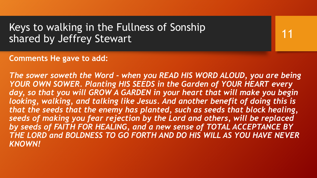**Comments He gave to add:**

*The sower soweth the Word - when you READ HIS WORD ALOUD, you are being YOUR OWN SOWER. Planting HIS SEEDS in the Garden of YOUR HEART every*  day, so that you will GROW A GARDEN in your heart that will make you begin *looking, walking, and talking like Jesus. And another benefit of doing this is that the seeds that the enemy has planted, such as seeds that block healing, seeds of making you fear rejection by the Lord and others, will be replaced by seeds of FAITH FOR HEALING, and a new sense of TOTAL ACCEPTANCE BY THE LORD and BOLDNESS TO GO FORTH AND DO HIS WILL AS YOU HAVE NEVER KNOWN!*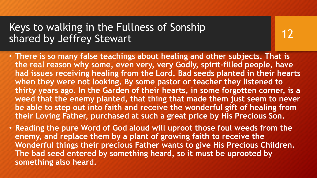- **There is so many false teachings about healing and other subjects. That is the real reason why some, even very, very Godly, spirit-filled people, have had issues receiving healing from the Lord. Bad seeds planted in their hearts when they were not looking. By some pastor or teacher they listened to thirty years ago. In the Garden of their hearts, in some forgotten corner, is a weed that the enemy planted, that thing that made them just seem to never be able to step out into faith and receive the wonderful gift of healing from their Loving Father, purchased at such a great price by His Precious Son.**
- **Reading the pure Word of God aloud will uproot those foul weeds from the enemy, and replace them by a plant of growing faith to receive the Wonderful things their precious Father wants to give His Precious Children. The bad seed entered by something heard, so it must be uprooted by something also heard.**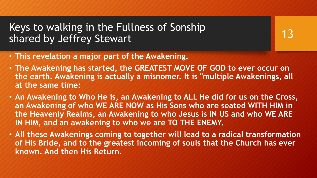- **This revelation a major part of the Awakening.**
- **The Awakening has started, the GREATEST MOVE OF GOD to ever occur on the earth. Awakening is actually a misnomer. It is "multiple Awakenings, all at the same time:**

- **An Awakening to Who He is, an Awakening to ALL He did for us on the Cross, an Awakening of who WE ARE NOW as His Sons who are seated WITH HIM in the Heavenly Realms, an Awakening to who Jesus is IN US and who WE ARE IN HIM, and an awakening to who we are TO THE ENEMY.**
- **All these Awakenings coming to together will lead to a radical transformation of His Bride, and to the greatest incoming of souls that the Church has ever known. And then His Return.**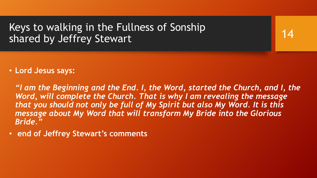14

• **Lord Jesus says:**

*"I am the Beginning and the End. I, the Word, started the Church, and I, the Word, will complete the Church. That is why I am revealing the message that you should not only be full of My Spirit but also My Word. It is this message about My Word that will transform My Bride into the Glorious Bride."* 

• **end of Jeffrey Stewart's comments**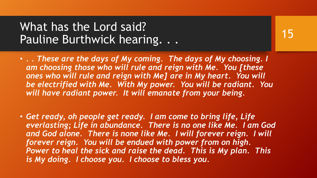#### What has the Lord said? Pauline Burthwick hearing. . .

• *. . These are the days of My coming. The days of My choosing. I am choosing those who will rule and reign with Me. You [these ones who will rule and reign with Me] are in My heart. You will be electrified with Me. With My power. You will be radiant. You will have radiant power. It will emanate from your being.* 

• *Get ready, oh people get ready. I am come to bring life, Life everlasting; Life in abundance. There is no one like Me. I am God*  and God alone. There is none like Me. I will forever reign. I will *forever reign. You will be endued with power from on high. Power to heal the sick and raise the dead. This is My plan. This is My doing. I choose you. I choose to bless you.*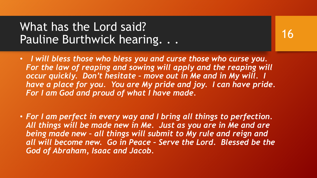#### What has the Lord said? Pauline Burthwick hearing...

- *I will bless those who bless you and curse those who curse you.*  For the law of reaping and sowing will apply and the reaping will *occur quickly. Don't hesitate – move out in Me and in My will. I have a place for you. You are My pride and joy. I can have pride. For I am God and proud of what I have made.*
- *For I am perfect in every way and I bring all things to perfection. All things will be made new in Me. Just as you are in Me and are being made new – all things will submit to My rule and reign and all will become new. Go in Peace – Serve the Lord. Blessed be the God of Abraham, Isaac and Jacob.*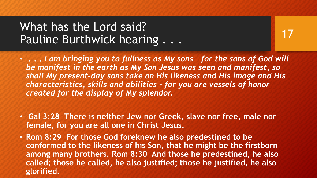#### What has the Lord said? Pauline Burthwick hearing . . .

- **. . .** *I am bringing you to fullness as My sons – for the sons of God will be manifest in the earth as My Son Jesus was seen and manifest, so shall My present-day sons take on His likeness and His image and His characteristics, skills and abilities – for you are vessels of honor created for the display of My splendor.*
- **Gal 3:28 There is neither Jew nor Greek, slave nor free, male nor female, for you are all one in Christ Jesus.**
- **Rom 8:29 For those God foreknew he also predestined to be conformed to the likeness of his Son, that he might be the firstborn among many brothers. Rom 8:30 And those he predestined, he also called; those he called, he also justified; those he justified, he also glorified.**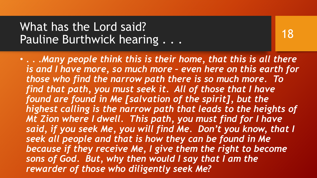## What has the Lord said? Pauline Burthwick hearing . . .

18

• *. . .Many people think this is their home, that this is all there is and I have more, so much more – even here on this earth for those who find the narrow path there is so much more. To find that path, you must seek it. All of those that I have found are found in Me [salvation of the spirit], but the highest calling is the narrow path that leads to the heights of Mt Zion where I dwell. This path, you must find for I have said, if you seek Me, you will find Me. Don't you know, that I seek all people and that is how they can be found in Me because if they receive Me, I give them the right to become sons of God. But, why then would I say that I am the rewarder of those who diligently seek Me?*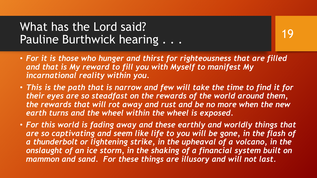## What has the Lord said? Pauline Burthwick hearing . . .

- *For it is those who hunger and thirst for righteousness that are filled and that is My reward to fill you with Myself to manifest My incarnational reality within you.*
- *This is the path that is narrow and few will take the time to find it for their eyes are so steadfast on the rewards of the world around them, the rewards that will rot away and rust and be no more when the new earth turns and the wheel within the wheel is exposed.*
- *For this world is fading away and these earthly and worldly things that*  are so captivating and seem like life to you will be gone, in the flash of *a thunderbolt or lightening strike, in the upheaval of a volcano, in the onslaught of an ice storm, in the shaking of a financial system built on mammon and sand. For these things are illusory and will not last.*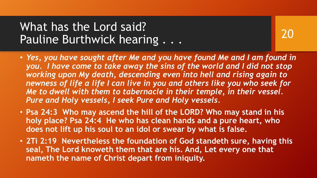## What has the Lord said? Pauline Burthwick hearing . . .

- *Yes, you have sought after Me and you have found Me and I am found in*  you. I have come to take away the sins of the world and I did not stop *working upon My death, descending even into hell and rising again to newness of life a life I can live in you and others like you who seek for Me to dwell with them to tabernacle in their temple, in their vessel. Pure and Holy vessels, I seek Pure and Holy vessels.*
- **Psa 24:3 Who may ascend the hill of the LORD? Who may stand in his holy place? Psa 24:4 He who has clean hands and a pure heart, who does not lift up his soul to an idol or swear by what is false.**
- **2Ti 2:19 Nevertheless the foundation of God standeth sure, having this seal, The Lord knoweth them that are his. And, Let every one that nameth the name of Christ depart from iniquity.**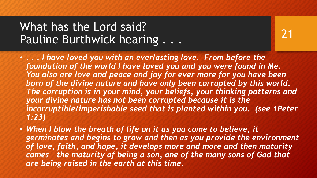## What has the Lord said? Pauline Burthwick hearing . . .

- *. . . I have loved you with an everlasting love. From before the foundation of the world I have loved you and you were found in Me. You also are love and peace and joy for ever more for you have been born of the divine nature and have only been corrupted by this world. The corruption is in your mind, your beliefs, your thinking patterns and your divine nature has not been corrupted because it is the incorruptible/imperishable seed that is planted within you. (see 1Peter 1:23)*
- *When I blow the breath of life on it as you come to believe, it germinates and begins to grow and then as you provide the environment of love, faith, and hope, it develops more and more and then maturity comes – the maturity of being a son, one of the many sons of God that are being raised in the earth at this time.*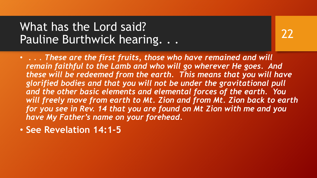## What has the Lord said? Pauline Burthwick hearing. . .

- *. . . These are the first fruits, those who have remained and will remain faithful to the Lamb and who will go wherever He goes. And these will be redeemed from the earth. This means that you will have glorified bodies and that you will not be under the gravitational pull and the other basic elements and elemental forces of the earth. You will freely move from earth to Mt. Zion and from Mt. Zion back to earth for you see in Rev. 14 that you are found on Mt Zion with me and you have My Father's name on your forehead.*
- **See Revelation 14:1-5**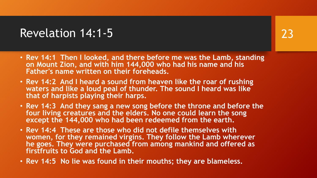#### Revelation 14:1-5

- **Rev 14:1 Then I looked, and there before me was the Lamb, standing on Mount Zion, and with him 144,000 who had his name and his Father's name written on their foreheads.**
- **Rev 14:2 And I heard a sound from heaven like the roar of rushing waters and like a loud peal of thunder. The sound I heard was like that of harpists playing their harps.**
- **Rev 14:3 And they sang a new song before the throne and before the four living creatures and the elders. No one could learn the song except the 144,000 who had been redeemed from the earth.**
- **Rev 14:4 These are those who did not defile themselves with women, for they remained virgins. They follow the Lamb wherever he goes. They were purchased from among mankind and offered as firstfruits to God and the Lamb.**
- **Rev 14:5 No lie was found in their mouths; they are blameless.**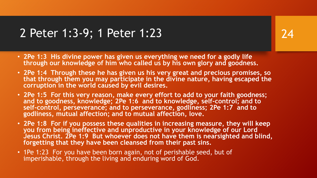#### 2 Peter 1:3-9; 1 Peter 1:23

- **2Pe 1:3 His divine power has given us everything we need for a godly life through our knowledge of him who called us by his own glory and goodness.**
- **2Pe 1:4 Through these he has given us his very great and precious promises, so that through them you may participate in the divine nature, having escaped the corruption in the world caused by evil desires.**
- **2Pe 1:5 For this very reason, make every effort to add to your faith goodness; and to goodness, knowledge; 2Pe 1:6 and to knowledge, self-control; and to self-control, perseverance; and to perseverance, godliness; 2Pe 1:7 and to godliness, mutual affection; and to mutual affection, love.**
- **2Pe 1:8 For if you possess these qualities in increasing measure, they will keep you from being ineffective and unproductive in your knowledge of our Lord Jesus Christ. 2Pe 1:9 But whoever does not have them is nearsighted and blind, forgetting that they have been cleansed from their past sins.**
- 1Pe 1:23 For you have been born again, not of perishable seed, but of imperishable, through the living and enduring word of God.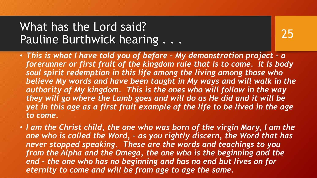## What has the Lord said? Pauline Burthwick hearing . . .

- 25
- *This is what I have told you of before – My demonstration project – a forerunner or first fruit of the kingdom rule that is to come. It is body soul spirit redemption in this life among the living among those who believe My words and have been taught in My ways and will walk in the authority of My kingdom. This is the ones who will follow in the way they will go where the Lamb goes and will do as He did and it will be yet in this age as a first fruit example of the life to be lived in the age to come.*
- *I am the Christ child, the one who was born of the virgin Mary, I am the one who is called the Word, - as you rightly discern, the Word that has never stopped speaking. These are the words and teachings to you from the Alpha and the Omega, the one who is the beginning and the end – the one who has no beginning and has no end but lives on for eternity to come and will be from age to age the same.*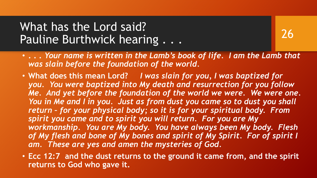## What has the Lord said? Pauline Burthwick hearing . . .

- **. . .** *Your name is written in the Lamb's book of life. I am the Lamb that was slain before the foundation of the world.*
- **What does this mean Lord?** *I was slain for you, I was baptized for you. You were baptized into My death and resurrection for you follow Me. And yet before the foundation of the world we were. We were one. You in Me and I in you. Just as from dust you came so to dust you shall return – for your physical body; so it is for your spiritual body. From spirit you came and to spirit you will return. For you are My workmanship. You are My body. You have always been My body. Flesh of My flesh and bone of My bones and spirit of My Spirit. For of spirit I am. These are yes and amen the mysteries of God.*
- **Ecc 12:7 and the dust returns to the ground it came from, and the spirit returns to God who gave it.**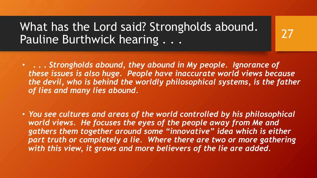#### What has the Lord said? Strongholds abound. Pauline Burthwick hearing . . .

• **. . .** *Strongholds abound, they abound in My people. Ignorance of these issues is also huge. People have inaccurate world views because the devil, who is behind the worldly philosophical systems, is the father of lies and many lies abound.*

27

• *You see cultures and areas of the world controlled by his philosophical world views. He focuses the eyes of the people away from Me and gathers them together around some "innovative" idea which is either part truth or completely a lie. Where there are two or more gathering with this view, it grows and more believers of the lie are added.*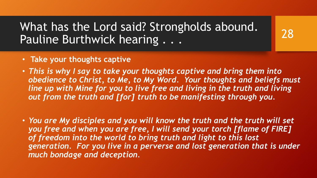## What has the Lord said? Strongholds abound. Pauline Burthwick hearing . . .

- **Take your thoughts captive**
- *This is why I say to take your thoughts captive and bring them into obedience to Christ, to Me, to My Word. Your thoughts and beliefs must line up with Mine for you to live free and living in the truth and living out from the truth and [for] truth to be manifesting through you.*
- *You are My disciples and you will know the truth and the truth will set you free and when you are free, I will send your torch [flame of FIRE] of freedom into the world to bring truth and light to this lost generation. For you live in a perverse and lost generation that is under much bondage and deception.*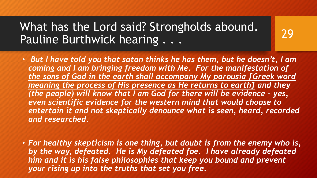## What has the Lord said? Strongholds abound. Pauline Burthwick hearing . . .

• *But I have told you that satan thinks he has them, but he doesn't, I am coming and I am bringing freedom with Me. For the manifestation of the sons of God in the earth shall accompany My parousia [Greek word meaning the process of His presence as He returns to earth] and they (the people) will know that I am God for there will be evidence - yes, even scientific evidence for the western mind that would choose to entertain it and not skeptically denounce what is seen, heard, recorded and researched.*

29

• *For healthy skepticism is one thing, but doubt is from the enemy who is, by the way, defeated. He is My defeated foe. I have already defeated him and it is his false philosophies that keep you bound and prevent your rising up into the truths that set you free.*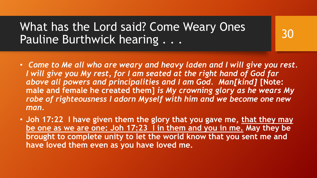#### What has the Lord said? Come Weary Ones Pauline Burthwick hearing . . .

• *Come to Me all who are weary and heavy laden and I will give you rest. I will give you My rest, for I am seated at the right hand of God far above all powers and principalities and I am God. Man[kind]* **[Note: male and female he created them]** *is My crowning glory as he wears My robe of righteousness I adorn Myself with him and we become one new man.* 

30

• **Joh 17:22 I have given them the glory that you gave me, that they may be one as we are one: Joh 17:23 I in them and you in me. May they be brought to complete unity to let the world know that you sent me and have loved them even as you have loved me.**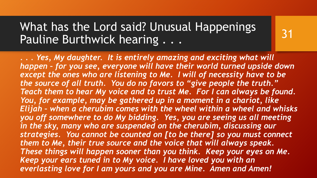*. . . Yes, My daughter. It is entirely amazing and exciting what will happen – for you see, everyone will have their world turned upside down except the ones who are listening to Me. I will of necessity have to be the source of all truth. You do no favors to "give people the truth." Teach them to hear My voice and to trust Me. For I can always be found. You, for example, may be gathered up in a moment in a chariot, like Elijah – when a cherubim comes with the wheel within a wheel and whisks you off somewhere to do My bidding. Yes, you are seeing us all meeting in the sky, many who are suspended on the cherubim, discussing our strategies. You cannot be counted on [to be there] so you must connect them to Me, their true source and the voice that will always speak. These things will happen sooner than you think. Keep your eyes on Me. Keep your ears tuned in to My voice. I have loved you with an everlasting love for I am yours and you are Mine. Amen and Amen!*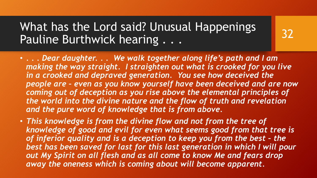• *. . . Dear daughter. . . We walk together along life's path and I am making the way straight. I straighten out what is crooked for you live in a crooked and depraved generation. You see how deceived the people are – even as you know yourself have been deceived and are now coming out of deception as you rise above the elemental principles of the world into the divine nature and the flow of truth and revelation and the pure word of knowledge that is from above.* 

32

• *This knowledge is from the divine flow and not from the tree of knowledge of good and evil for even what seems good from that tree is of inferior quality and is a deception to keep you from the best - the best has been saved for last for this last generation in which I will pour out My Spirit on all flesh and as all come to know Me and fears drop away the oneness which is coming about will become apparent.*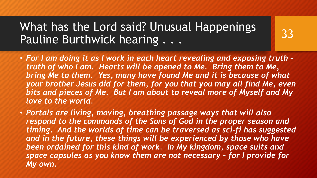• *For I am doing it as I work in each heart revealing and exposing truth – truth of who I am. Hearts will be opened to Me. Bring them to Me, bring Me to them. Yes, many have found Me and it is because of what your brother Jesus did for them, for you that you may all find Me, even bits and pieces of Me. But I am about to reveal more of Myself and My love to the world.*

33

• *Portals are living, moving, breathing passage ways that will also respond to the commands of the Sons of God in the proper season and timing. And the worlds of time can be traversed as sci-fi has suggested*  and in the future, these things will be experienced by those who have *been ordained for this kind of work. In My kingdom, space suits and space capsules as you know them are not necessary – for I provide for My own.*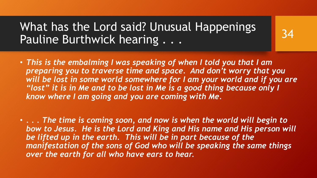• *This is the embalming I was speaking of when I told you that I am preparing you to traverse time and space. And don't worry that you*  will be lost in some world somewhere for I am your world and if you are *"lost" it is in Me and to be lost in Me is a good thing because only I know where I am going and you are coming with Me.* 

34

• *. . . The time is coming soon, and now is when the world will begin to bow to Jesus. He is the Lord and King and His name and His person will be lifted up in the earth. This will be in part because of the manifestation of the sons of God who will be speaking the same things over the earth for all who have ears to hear.*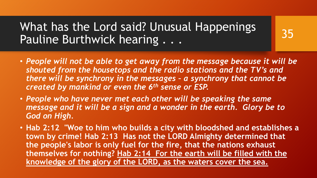• *People will not be able to get away from the message because it will be shouted from the housetops and the radio stations and the TV's and there will be synchrony in the messages – a synchrony that cannot be created by mankind or even the 6th sense or ESP.* 

- *People who have never met each other will be speaking the same message and it will be a sign and a wonder in the earth. Glory be to God on High.*
- **Hab 2:12 "Woe to him who builds a city with bloodshed and establishes a town by crime! Hab 2:13 Has not the LORD Almighty determined that the people's labor is only fuel for the fire, that the nations exhaust themselves for nothing? Hab 2:14 For the earth will be filled with the knowledge of the glory of the LORD, as the waters cover the sea.**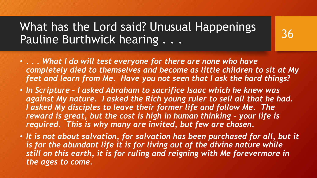• *. . . What I do will test everyone for there are none who have completely died to themselves and become as little children to sit at My feet and learn from Me. Have you not seen that I ask the hard things?* 

- *In Scripture – I asked Abraham to sacrifice Isaac which he knew was against My nature. I asked the Rich young ruler to sell all that he had. I asked My disciples to leave their former life and follow Me. The reward is great, but the cost is high in human thinking – your life is required. This is why many are invited, but few are chosen.*
- It is not about salvation, for salvation has been purchased for all, but it *is for the abundant life it is for living out of the divine nature while still on this earth, it is for ruling and reigning with Me forevermore in the ages to come.*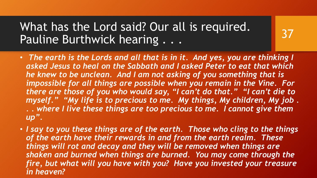## What has the Lord said? Our all is required. Pauline Burthwick hearing . . .

• *The earth is the Lords and all that is in it. And yes, you are thinking I asked Jesus to heal on the Sabbath and I asked Peter to eat that which he knew to be unclean. And I am not asking of you something that is impossible for all things are possible when you remain in the Vine. For there are those of you who would say, "I can't do that." "I can't die to myself." "My life is to precious to me. My things, My children, My job . . . where I live these things are too precious to me. I cannot give them up".*

37

• *I say to you these things are of the earth. Those who cling to the things of the earth have their rewards in and from the earth realm. These things will rot and decay and they will be removed when things are shaken and burned when things are burned. You may come through the fire, but what will you have with you? Have you invested your treasure in heaven?*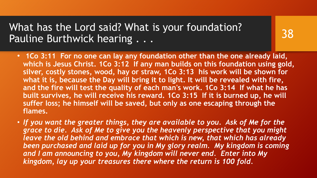What has the Lord said? What is your foundation? Pauline Burthwick hearing . . .

• **1Co 3:11 For no one can lay any foundation other than the one already laid, which is Jesus Christ. 1Co 3:12 If any man builds on this foundation using gold, silver, costly stones, wood, hay or straw, 1Co 3:13 his work will be shown for what it is, because the Day will bring it to light. It will be revealed with fire, and the fire will test the quality of each man's work. 1Co 3:14 If what he has built survives, he will receive his reward. 1Co 3:15 If it is burned up, he will suffer loss; he himself will be saved, but only as one escaping through the flames.**

38

• *If you want the greater things, they are available to you. Ask of Me for the grace to die. Ask of Me to give you the heavenly perspective that you might leave the old behind and embrace that which is new, that which has already been purchased and laid up for you in My glory realm. My kingdom is coming and I am announcing to you, My kingdom will never end. Enter into My kingdom, lay up your treasures there where the return is 100 fold.*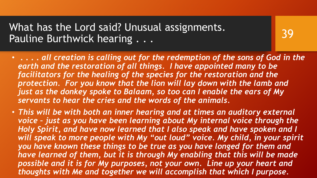39

• **. . . .** *all creation is calling out for the redemption of the sons of God in the earth and the restoration of all things. I have appointed many to be facilitators for the healing of the species for the restoration and the protection. For you know that the lion will lay down with the lamb and just as the donkey spoke to Balaam, so too can I enable the ears of My servants to hear the cries and the words of the animals.* 

• *This will be with both an inner hearing and at times an auditory external voice – just as you have been learning about My internal voice through the Holy Spirit, and have now learned that I also speak and have spoken and I will speak to more people with My "out loud" voice. My child, in your spirit you have known these things to be true as you have longed for them and have learned of them, but it is through My enabling that this will be made possible and it is for My purposes, not your own. Line up your heart and thoughts with Me and together we will accomplish that which I purpose.*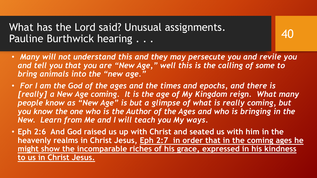• *Many will not understand this and they may persecute you and revile you and tell you that you are "New Age," well this is the calling of some to bring animals into the "new age."* 

- *For I am the God of the ages and the times and epochs, and there is [really] a New Age coming. It is the age of My Kingdom reign. What many people know as "New Age" is but a glimpse of what is really coming, but you know the one who is the Author of the Ages and who is bringing in the New. Learn from Me and I will teach you My ways.*
- **Eph 2:6 And God raised us up with Christ and seated us with him in the heavenly realms in Christ Jesus, Eph 2:7 in order that in the coming ages he might show the incomparable riches of his grace, expressed in his kindness to us in Christ Jesus.**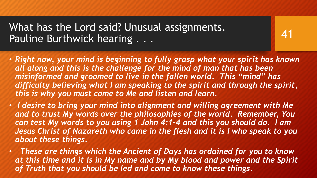• *Right now, your mind is beginning to fully grasp what your spirit has known all along and this is the challenge for the mind of man that has been misinformed and groomed to live in the fallen world. This "mind" has difficulty believing what I am speaking to the spirit and through the spirit, this is why you must come to Me and listen and learn.* 

- *I desire to bring your mind into alignment and willing agreement with Me and to trust My words over the philosophies of the world. Remember, You can test My words to you using 1 John 4:1-4 and this you should do. I am Jesus Christ of Nazareth who came in the flesh and it is I who speak to you about these things.*
- *These are things which the Ancient of Days has ordained for you to know at this time and it is in My name and by My blood and power and the Spirit of Truth that you should be led and come to know these things.*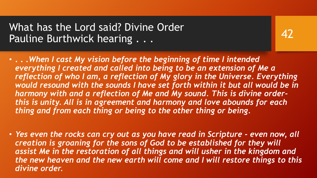What has the Lord said? Divine Order Pauline Burthwick hearing . . .

• **. . .***When I cast My vision before the beginning of time I intended everything I created and called into being to be an extension of Me a reflection of who I am, a reflection of My glory in the Universe. Everything would resound with the sounds I have set forth within it but all would be in harmony with and a reflection of Me and My sound. This is divine orderthis is unity. All is in agreement and harmony and love abounds for each thing and from each thing or being to the other thing or being.*

• *Yes even the rocks can cry out as you have read in Scripture - even now, all creation is groaning for the sons of God to be established for they will assist Me in the restoration of all things and will usher in the kingdom and the new heaven and the new earth will come and I will restore things to this divine order.*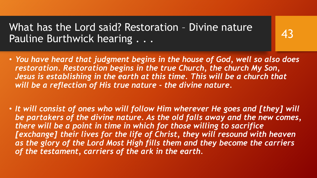What has the Lord said? Restoration – Divine nature Pauline Burthwick hearing . . .

• *You have heard that judgment begins in the house of God, well so also does restoration. Restoration begins in the true Church, the church My Son, Jesus is establishing in the earth at this time. This will be a church that will be a reflection of His true nature - the divine nature.* 

43

• *It will consist of ones who will follow Him wherever He goes and [they] will be partakers of the divine nature. As the old falls away and the new comes, there will be a point in time in which for those willing to sacrifice*  [exchange] their lives for the life of Christ, they will resound with heaven as the glory of the Lord Most High fills them and they become the carriers *of the testament, carriers of the ark in the earth.*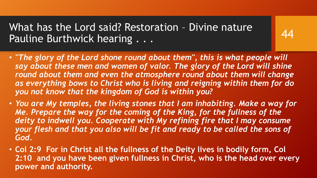What has the Lord said? Restoration – Divine nature Pauline Burthwick hearing . . .

• *"The glory of the Lord shone round about them", this is what people will say about these men and women of valor. The glory of the Lord will shine round about them and even the atmosphere round about them will change as everything bows to Christ who is living and reigning within them for do you not know that the kingdom of God is within you?*

- *You are My temples, the living stones that I am inhabiting. Make a way for Me. Prepare the way for the coming of the King, for the fullness of the*  deity to indwell you. Cooperate with My refining fire that I may consume *your flesh and that you also will be fit and ready to be called the sons of God.*
- **Col 2:9 For in Christ all the fullness of the Deity lives in bodily form, Col 2:10 and you have been given fullness in Christ, who is the head over every power and authority.**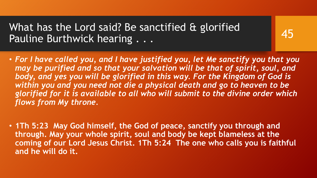What has the Lord said? Be sanctified & glorified Pauline Burthwick hearing . . .

• *For I have called you, and I have justified you, let Me sanctify you that you may be purified and so that your salvation will be that of spirit, soul, and body, and yes you will be glorified in this way. For the Kingdom of God is within you and you need not die a physical death and go to heaven to be glorified for it is available to all who will submit to the divine order which flows from My throne.* 

45

• **1Th 5:23 May God himself, the God of peace, sanctify you through and through. May your whole spirit, soul and body be kept blameless at the coming of our Lord Jesus Christ. 1Th 5:24 The one who calls you is faithful and he will do it.**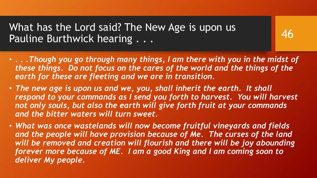What has the Lord said? The New Age is upon us Pauline Burthwick hearing . . .

• *. . .Though you go through many things, I am there with you in the midst of these things. Do not focus on the cares of the world and the things of the earth for these are fleeting and we are in transition.* 

- *The new age is upon us and we, you, shall inherit the earth. It shall respond to your commands as I send you forth to harvest. You will harvest not only souls, but also the earth will give forth fruit at your commands and the bitter waters will turn sweet.*
- *What was once wastelands will now become fruitful vineyards and fields*  and the people will have provision because of Me. The curses of the land *will be removed and creation will flourish and there will be joy abounding forever more because of ME. I am a good King and I am coming soon to deliver My people.*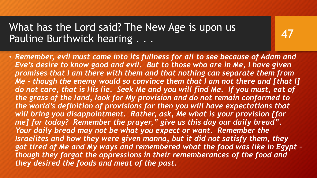What has the Lord said? The New Age is upon us Pauline Burthwick hearing . . .

• *Remember, evil must come into its fullness for all to see because of Adam and Eve's desire to know good and evil. But to those who are in Me, I have given promises that I am there with them and that nothing can separate them from Me – though the enemy would so convince them that I am not there and [that I]*  do not care, that is His lie. Seek Me and you will find Me. If you must, eat of *the grass of the land, look for My provision and do not remain conformed to the world's definition of provisions for then you will have expectations that will bring you disappointment. Rather, ask, Me what is your provision [for me] for today? Remember the prayer," give us this day our daily bread". Your daily bread may not be what you expect or want. Remember the Israelites and how they were given manna, but it did not satisfy them, they got tired of Me and My ways and remembered what the food was like in Egypt – though they forgot the oppressions in their rememberances of the food and they desired the foods and meat of the past.*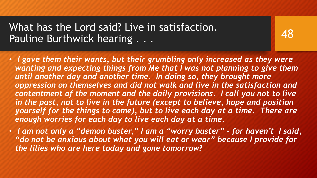What has the Lord said? Live in satisfaction. Pauline Burthwick hearing . . .

• *I gave them their wants, but their grumbling only increased as they were wanting and expecting things from Me that I was not planning to give them until another day and another time. In doing so, they brought more oppression on themselves and did not walk and live in the satisfaction and contentment of the moment and the daily provisions. I call you not to live in the past, not to live in the future (except to believe, hope and position yourself for the things to come), but to live each day at a time. There are enough worries for each day to live each day at a time.* 

48

• *I am not only a "demon buster," I am a "worry buster" – for haven't I said, "do not be anxious about what you will eat or wear" because I provide for the lilies who are here today and gone tomorrow?*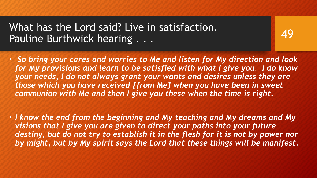What has the Lord said? Live in satisfaction. Pauline Burthwick hearing . . .

• *So bring your cares and worries to Me and listen for My direction and look for My provisions and learn to be satisfied with what I give you. I do know your needs, I do not always grant your wants and desires unless they are those which you have received [from Me] when you have been in sweet communion with Me and then I give you these when the time is right.* 

49

• *I know the end from the beginning and My teaching and My dreams and My visions that I give you are given to direct your paths into your future*  destiny, but do not try to establish it in the flesh for it is not by power nor *by might, but by My spirit says the Lord that these things will be manifest.*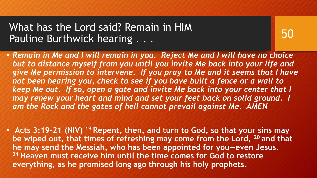What has the Lord said? Remain in HIM Pauline Burthwick hearing . . .

• *Remain in Me and I will remain in you. Reject Me and I will have no choice but to distance myself from you until you invite Me back into your life and give Me permission to intervene. If you pray to Me and it seems that I have not been hearing you, check to see if you have built a fence or a wall to keep Me out. If so, open a gate and invite Me back into your center that I may renew your heart and mind and set your feet back on solid ground. I am the Rock and the gates of hell cannot prevail against Me. AMEN*

50

• **Acts 3:19-21 (NIV) <sup>19</sup> Repent, then, and turn to God, so that your sins may be wiped out, that times of refreshing may come from the Lord, <sup>20</sup> and that he may send the Messiah, who has been appointed for you—even Jesus. <sup>21</sup> Heaven must receive him until the time comes for God to restore everything, as he promised long ago through his holy prophets.**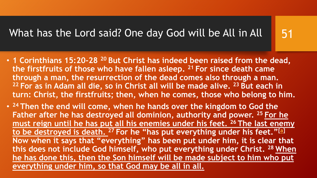#### What has the Lord said? One day God will be All in All

- 51
- **1 Corinthians 15:20-28 <sup>20</sup> But Christ has indeed been raised from the dead, the firstfruits of those who have fallen asleep. <sup>21</sup> For since death came through a man, the resurrection of the dead comes also through a man. <sup>22</sup> For as in Adam all die, so in Christ all will be made alive. <sup>23</sup> But each in turn: Christ, the firstfruits; then, when he comes, those who belong to him.**
- **<sup>24</sup> Then the end will come, when he hands over the kingdom to God the Father after he has destroyed all dominion, authority and power. <sup>25</sup> For he must reign until he has put all his enemies under his feet. <sup>26</sup> The last enemy to be destroyed is death. <sup>27</sup> For he "has put everything under his feet."[[a\]](http://www.biblegateway.com/passage/?search=1 Corinthians 15:20-28&version=NIV#fen-NIV-28746a) Now when it says that "everything" has been put under him, it is clear that this does not include God himself, who put everything under Christ. <sup>28</sup> When he has done this, then the Son himself will be made subject to him who put everything under him, so that God may be all in all.**